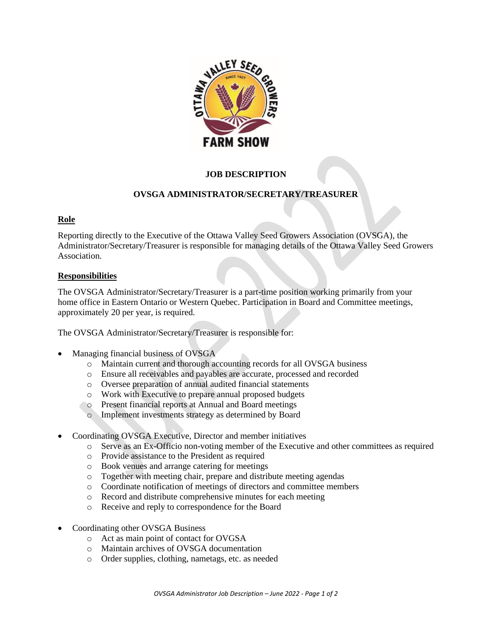

# **JOB DESCRIPTION**

# **OVSGA ADMINISTRATOR/SECRETARY/TREASURER**

## **Role**

Reporting directly to the Executive of the Ottawa Valley Seed Growers Association (OVSGA), the Administrator/Secretary/Treasurer is responsible for managing details of the Ottawa Valley Seed Growers **Association** 

## **Responsibilities**

The OVSGA Administrator/Secretary/Treasurer is a part-time position working primarily from your home office in Eastern Ontario or Western Quebec. Participation in Board and Committee meetings, approximately 20 per year, is required.

The OVSGA Administrator/Secretary/Treasurer is responsible for:

- Managing financial business of OVSGA
	- o Maintain current and thorough accounting records for all OVSGA business
	- o Ensure all receivables and payables are accurate, processed and recorded
	- o Oversee preparation of annual audited financial statements
	- o Work with Executive to prepare annual proposed budgets
	- o Present financial reports at Annual and Board meetings
	- o Implement investments strategy as determined by Board
- Coordinating OVSGA Executive, Director and member initiatives
	- o Serve as an Ex-Officio non-voting member of the Executive and other committees as required
	- o Provide assistance to the President as required
	- o Book venues and arrange catering for meetings
	- o Together with meeting chair, prepare and distribute meeting agendas
	- o Coordinate notification of meetings of directors and committee members
	- o Record and distribute comprehensive minutes for each meeting
	- o Receive and reply to correspondence for the Board
- Coordinating other OVSGA Business
	- o Act as main point of contact for OVGSA
	- o Maintain archives of OVSGA documentation
	- o Order supplies, clothing, nametags, etc. as needed